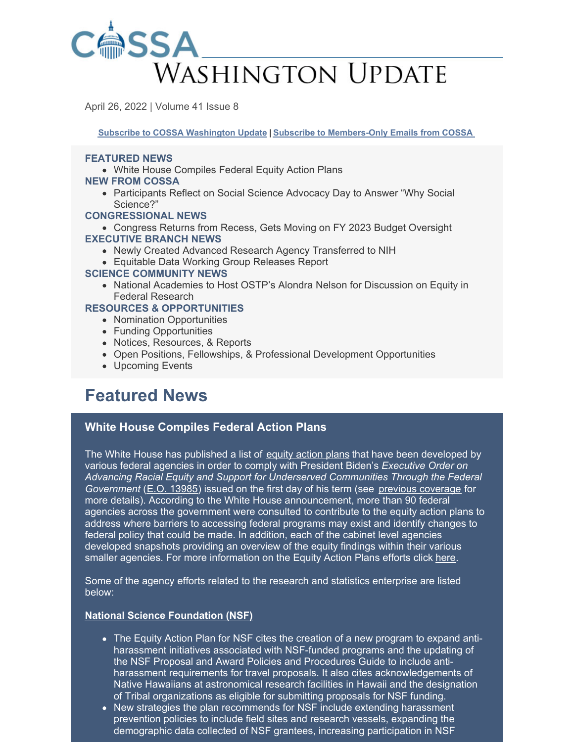

April 26, 2022 | Volume 41 Issue 8

**Subscribe to COSSA [Washington](https://www.cossa.org/washington-update/subscribe-update/) Update | Subscribe to [Members-Only](https://cossa.org/members/mm-subscribe/) Emails from COSSA**

#### **FEATURED NEWS**

- White House Compiles Federal Equity Action Plans
- **NEW FROM COSSA**
	- Participants Reflect on Social Science Advocacy Day to Answer "Why Social Science?"

#### **CONGRESSIONAL NEWS**

Congress Returns from Recess, Gets Moving on FY 2023 Budget Oversight **EXECUTIVE BRANCH NEWS**

- Newly Created Advanced Research Agency Transferred to NIH
- Equitable Data Working Group Releases Report

#### **SCIENCE COMMUNITY NEWS**

• National Academies to Host OSTP's Alondra Nelson for Discussion on Equity in Federal Research

#### **RESOURCES & OPPORTUNITIES**

- Nomination Opportunities
- Funding Opportunities
- Notices, Resources, & Reports
- Open Positions, Fellowships, & Professional Development Opportunities
- Upcoming Events

# **Featured News**

## **White House Compiles Federal Action Plans**

The White House has published a list of equity [action](https://www.whitehouse.gov/equity/) plans that have been developed by various federal agencies in order to comply with President Biden's *Executive Order on Advancing Racial Equity and Support for Underserved Communities Through the Federal Government* (E.O. [13985](https://www.whitehouse.gov/briefing-room/presidential-actions/2021/01/20/executive-order-advancing-racial-equity-and-support-for-underserved-communities-through-the-federal-government/)) issued on the first day of his term (see previous [coverage](https://cossa.org/2021/02/02/biden-administration-executive-actions-equity-inclusion/) for more details). According to the White House announcement, more than 90 federal agencies across the government were consulted to contribute to the equity action plans to address where barriers to accessing federal programs may exist and identify changes to federal policy that could be made. In addition, each of the cabinet level agencies developed snapshots providing an overview of the equity findings within their various smaller agencies. For more information on the Equity Action Plans efforts click [here](https://www.whitehouse.gov/equity/#equity-plan-snapshots).

Some of the agency efforts related to the research and statistics enterprise are listed below:

#### **National Science [Foundation](https://www.whitehouse.gov/wp-content/uploads/2022/04/NSF-EO13985-equity-summary.pdf) (NSF)**

- The Equity Action Plan for NSF cites the creation of a new program to expand antiharassment initiatives associated with NSF-funded programs and the updating of the NSF Proposal and Award Policies and Procedures Guide to include antiharassment requirements for travel proposals. It also cites acknowledgements of Native Hawaiians at astronomical research facilities in Hawaii and the designation of Tribal organizations as eligible for submitting proposals for NSF funding.
- New strategies the plan recommends for NSF include extending harassment prevention policies to include field sites and research vessels, expanding the demographic data collected of NSF grantees, increasing participation in NSF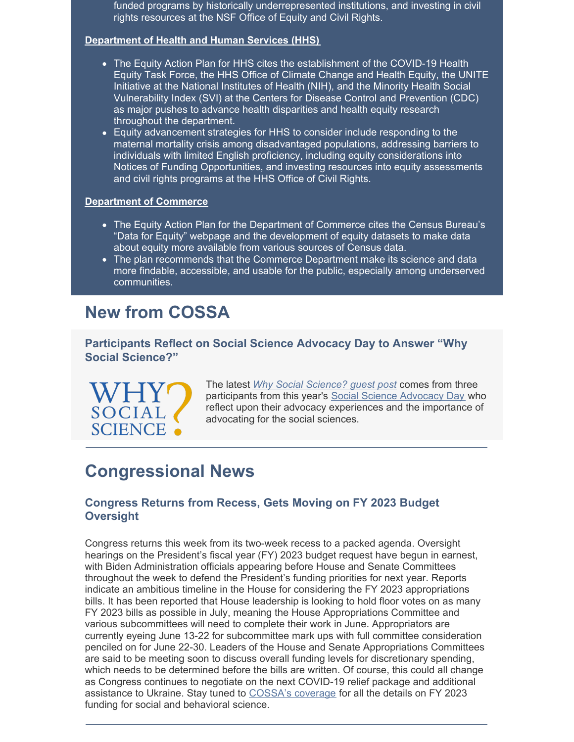funded programs by historically underrepresented institutions, and investing in civil rights resources at the NSF Office of Equity and Civil Rights.

#### **[Department](https://www.whitehouse.gov/wp-content/uploads/2022/04/HHS-EO13985-equity-summary.pdf) of Health and Human Services (HHS)**

- The Equity Action Plan for HHS cites the establishment of the COVID-19 Health Equity Task Force, the HHS Office of Climate Change and Health Equity, the UNITE Initiative at the National Institutes of Health (NIH), and the Minority Health Social Vulnerability Index (SVI) at the Centers for Disease Control and Prevention (CDC) as major pushes to advance health disparities and health equity research throughout the department.
- Equity advancement strategies for HHS to consider include responding to the maternal mortality crisis among disadvantaged populations, addressing barriers to individuals with limited English proficiency, including equity considerations into Notices of Funding Opportunities, and investing resources into equity assessments and civil rights programs at the HHS Office of Civil Rights.

#### **[Department](https://www.whitehouse.gov/wp-content/uploads/2022/04/DOC-EO13985-equity-summary.pdf) of Commerce**

- The Equity Action Plan for the Department of Commerce cites the Census Bureau's "Data for Equity" webpage and the development of equity datasets to make data about equity more available from various sources of Census data.
- The plan recommends that the Commerce Department make its science and data more findable, accessible, and usable for the public, especially among underserved communities.

# **New from COSSA**

**Participants Reflect on Social Science Advocacy Day to Answer "Why Social Science?"**

SOCIAL **SCIENCE** • The latest *Why Social [Science?](https://www.whysocialscience.com/blog/2022/4/19/because-people-should-be-at-the-center-of-policymaking-reflections-from-cossas-2022-social-science-advocacy-day) guest post* comes from three participants from this year's Social Science [Advocacy](https://cossa.org/advocacy-day/) Day who reflect upon their advocacy experiences and the importance of advocating for the social sciences.

# **Congressional News**

## **Congress Returns from Recess, Gets Moving on FY 2023 Budget Oversight**

Congress returns this week from its two-week recess to a packed agenda. Oversight hearings on the President's fiscal year (FY) 2023 budget request have begun in earnest, with Biden Administration officials appearing before House and Senate Committees throughout the week to defend the President's funding priorities for next year. Reports indicate an ambitious timeline in the House for considering the FY 2023 appropriations bills. It has been reported that House leadership is looking to hold floor votes on as many FY 2023 bills as possible in July, meaning the House Appropriations Committee and various subcommittees will need to complete their work in June. Appropriators are currently eyeing June 13-22 for subcommittee mark ups with full committee consideration penciled on for June 22-30. Leaders of the House and Senate Appropriations Committees are said to be meeting soon to discuss overall funding levels for discretionary spending, which needs to be determined before the bills are written. Of course, this could all change as Congress continues to negotiate on the next COVID-19 relief package and additional assistance to Ukraine. Stay tuned to [COSSA's](https://cossa.org/policy/) coverage for all the details on FY 2023 funding for social and behavioral science.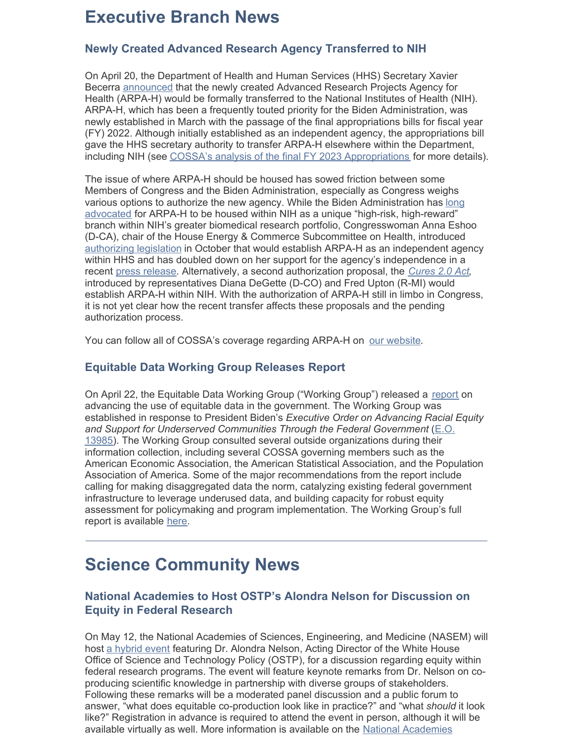# **Executive Branch News**

# **Newly Created Advanced Research Agency Transferred to NIH**

On April 20, the Department of Health and Human Services (HHS) Secretary Xavier Becerra [announced](https://www.federalregister.gov/documents/2022/04/20/2022-08456/transfer-of-arpa-h-to-nih) that the newly created Advanced Research Projects Agency for Health (ARPA-H) would be formally transferred to the National Institutes of Health (NIH). ARPA-H, which has been a frequently touted priority for the Biden Administration, was newly established in March with the passage of the final appropriations bills for fiscal year (FY) 2022. Although initially established as an independent agency, the appropriations bill gave the HHS secretary authority to transfer ARPA-H elsewhere within the Department, including NIH (see COSSA's analysis of the final FY 2023 [Appropriations](https://cossa.org/wp-content/uploads/2022/03/FY-2022-Appropriations-Analysis.pdf) for more details).

The issue of where ARPA-H should be housed has sowed friction between some Members of Congress and the Biden Administration, especially as Congress weighs various options to authorize the new agency. While the Biden [Administration](https://cossa.org/2021/04/13/biden-preliminary-fy-2022-rd-proposals-rely-on-darpa-model/) has long advocated for ARPA-H to be housed within NIH as a unique "high-risk, high-reward" branch within NIH's greater biomedical research portfolio, Congresswoman Anna Eshoo (D-CA), chair of the House Energy & Commerce Subcommittee on Health, introduced [authorizing](https://cossa.org/2021/10/26/arpa-h-authorization-bill-introduced-in-the-house/) legislation in October that would establish ARPA-H as an independent agency within HHS and has doubled down on her support for the agency's independence in a recent press [release](https://eshoo.house.gov/media/press-releases/eshoo-statement-becerra-placing-arpa-h-nih). Alternatively, a second authorization proposal, the *[Cures](https://cossa.org/2021/11/23/cures-2-0-bill-introduced-in-the-house-includes-rise-act-and-arpa-h-authorization/) 2.0 Act*, introduced by representatives Diana DeGette (D-CO) and Fred Upton (R-MI) would establish ARPA-H within NIH. With the authorization of ARPA-H still in limbo in Congress, it is not yet clear how the recent transfer affects these proposals and the pending authorization process.

You can follow all of COSSA's coverage regarding ARPA-H on our [website](https://cossa.org/tag/arpa-h/).

## **Equitable Data Working Group Releases Report**

On April 22, the Equitable Data Working Group ("Working Group") released a [report](https://www.whitehouse.gov/ostp/news-updates/2022/04/22/the-release-of-the-equitable-data-working-group-report/) on advancing the use of equitable data in the government. The Working Group was established in response to President Biden's *Executive Order on Advancing Racial Equity and Support for Underserved [Communities](https://www.whitehouse.gov/briefing-room/presidential-actions/2021/01/20/executive-order-advancing-racial-equity-and-support-for-underserved-communities-through-the-federal-government/) Through the Federal Government* (E.O. 13985). The Working Group consulted several outside organizations during their information collection, including several COSSA governing members such as the American Economic Association, the American Statistical Association, and the Population Association of America. Some of the major recommendations from the report include calling for making disaggregated data the norm, catalyzing existing federal government infrastructure to leverage underused data, and building capacity for robust equity assessment for policymaking and program implementation. The Working Group's full report is available [here](https://www.whitehouse.gov/ostp/news-updates/2022/04/22/the-release-of-the-equitable-data-working-group-report/).

# **Science Community News**

## **National Academies to Host OSTP's Alondra Nelson for Discussion on Equity in Federal Research**

On May 12, the National Academies of Sciences, Engineering, and Medicine (NASEM) will host a [hybrid](https://www.nationalacademies.org/event/05-12-2022/co-producing-knowledge-with-communities-equity-in-federal-research-programs) event featuring Dr. Alondra Nelson, Acting Director of the White House Office of Science and Technology Policy (OSTP), for a discussion regarding equity within federal research programs. The event will feature keynote remarks from Dr. Nelson on coproducing scientific knowledge in partnership with diverse groups of stakeholders. Following these remarks will be a moderated panel discussion and a public forum to answer, "what does equitable co-production look like in practice?" and "what *should* it look like?" Registration in advance is required to attend the event in person, although it will be available virtually as well. More [information](https://www.nationalacademies.org/event/05-12-2022/co-producing-knowledge-with-communities-equity-in-federal-research-programs) is available on the National Academies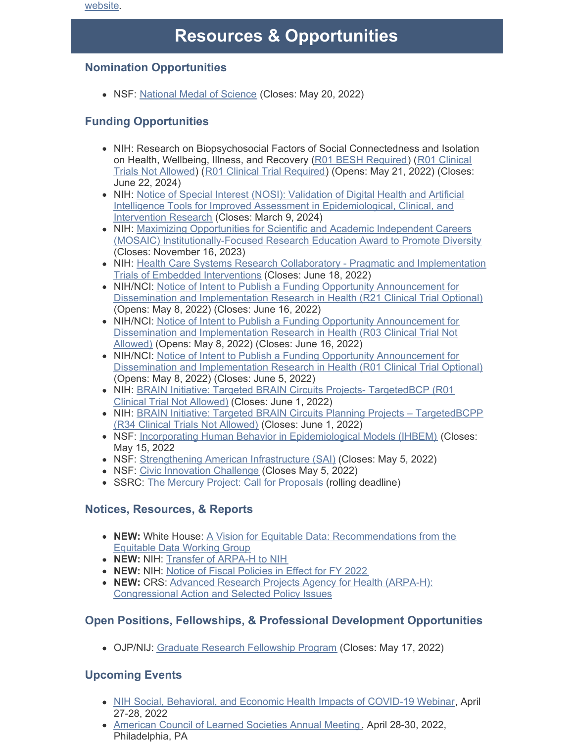website.

# **Resources & Opportunities**

## **Nomination Opportunities**

NSF: [National](https://www.nsf.gov/od/nms/nominations.jsp) Medal of Science (Closes: May 20, 2022)

# **Funding Opportunities**

- NIH: Research on Biopsychosocial Factors of Social Connectedness and Isolation on Health, [Wellbeing,](https://grants.nih.gov/grants/guide/pa-files/PAR-21-350.html) Illness, and Recovery (R01 BESH [Required](https://grants.nih.gov/grants/guide/pa-files/PAR-21-349.html)) (R01 Clinical Trials Not Allowed) (R01 Clinical Trial [Required](https://grants.nih.gov/grants/guide/pa-files/PAR-21-352.html)) (Opens: May 21, 2022) (Closes: June 22, 2024)
- NIH: Notice of Special Interest (NOSI): Validation of Digital Health and Artificial Intelligence Tools for Improved Assessment in [Epidemiological,](https://grants.nih.gov/grants/guide/notice-files/NOT-CA-22-037.html) Clinical, and Intervention Research (Closes: March 9, 2024)
- NIH: Maximizing Opportunities for Scientific and Academic Independent Careers (MOSAIC) [Institutionally-Focused](https://grants.nih.gov/grants/guide/pa-files/PAR-21-277.html) Research Education Award to Promote Diversity (Closes: November 16, 2023)
- NIH: Health Care Systems Research Collaboratory Pragmatic and [Implementation](https://grants.nih.gov/grants/guide/rfa-files/RFA-AT-22-001.html) Trials of Embedded Interventions (Closes: June 18, 2022)
- NIH/NCI: Notice of Intent to Publish a Funding Opportunity Announcement for Dissemination and [Implementation](https://grants.nih.gov/grants/guide/notice-files/NOT-CA-22-043.html) Research in Health (R21 Clinical Trial Optional) (Opens: May 8, 2022) (Closes: June 16, 2022)
- NIH/NCI: Notice of Intent to Publish a Funding Opportunity Announcement for Dissemination and [Implementation](https://grants.nih.gov/grants/guide/notice-files/NOT-CA-22-044.html) Research in Health (R03 Clinical Trial Not Allowed) (Opens: May 8, 2022) (Closes: June 16, 2022)
- NIH/NCI: Notice of Intent to Publish a Funding Opportunity [Announcement](https://grants.nih.gov/grants/guide/notice-files/NOT-CA-22-042.html) for Dissemination and Implementation Research in Health (R01 Clinical Trial Optional) (Opens: May 8, 2022) (Closes: June 5, 2022)
- NIH: BRAIN Initiative: Targeted BRAIN Circuits Projects- [TargetedBCP](https://grants.nih.gov/grants/guide/rfa-files/RFA-NS-22-026.html) (R01) Clinical Trial Not Allowed) (Closes: June 1, 2022)
- NIH: BRAIN Initiative: Targeted BRAIN Circuits Planning Projects [TargetedBCPP](https://grants.nih.gov/grants/guide/rfa-files/RFA-NS-22-027.html) (R34 Clinical Trials Not Allowed) (Closes: June 1, 2022)
- NSF: Incorporating Human Behavior in [Epidemiological](https://www.nsf.gov/pubs/2022/nsf22054/nsf22054.pdf) Models (IHBEM) (Closes: May 15, 2022
- NSF: [Strengthening](https://www.nsf.gov/pubs/2022/nsf22564/nsf22564.htm) American Infrastructure (SAI) (Closes: May 5, 2022)
- NSF: Civic [Innovation](https://www.nsf.gov/pubs/2022/nsf22565/nsf22565.htm) Challenge (Closes May 5, 2022)
- SSRC: The Mercury Project: Call for [Proposals](https://www.ssrc.org/programs/the-mercury-project/call-for-proposals/) (rolling deadline)

# **Notices, Resources, & Reports**

- **NEW:** White House: A Vision for Equitable Data: [Recommendations](https://www.whitehouse.gov/wp-content/uploads/2022/04/eo13985-vision-for-equitable-data.pdf) from the Equitable Data Working Group
- **NEW:** NIH: Transfer of [ARPA-H](https://www.federalregister.gov/documents/2022/04/20/2022-08456/transfer-of-arpa-h-to-nih) to NIH
- **NEW:** NIH: Notice of Fiscal [Policies](https://grants.nih.gov/grants/guide/notice-files/NOT-OD-22-105.html) in Effect for FY 2022
- **NEW:** CRS: Advanced Research Projects Agency for Health (ARPA-H): [Congressional](https://crsreports.congress.gov/product/pdf/R/R47074) Action and Selected Policy Issues

# **Open Positions, Fellowships, & Professional Development Opportunities**

OJP/NIJ: Graduate Research [Fellowship](https://nij.ojp.gov/funding/fellowships/graduate-research-fellowship-program) Program (Closes: May 17, 2022)

# **Upcoming Events**

- NIH Social, [Behavioral,](https://www.eventbrite.com/e/april-27-28-nih-social-behavioral-economic-covid-19-health-impacts-registration-241394225627) and Economic Health Impacts of COVID-19 Webinar, April 27-28, 2022
- [American](https://www.acls.org/annual-meetings/) Council of Learned Societies Annual Meeting, April 28-30, 2022, Philadelphia, PA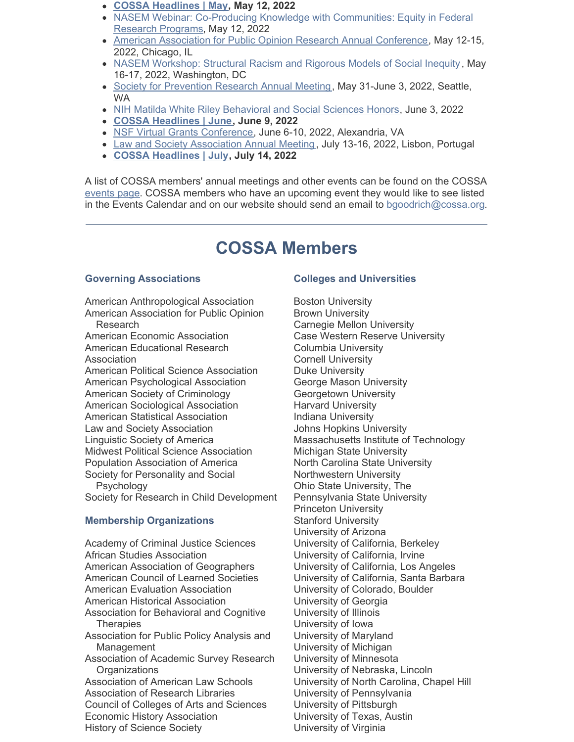- **COSSA [Headlines](https://cossa.org/event/cossa-headlines-2022-05-12/) | May, May 12, 2022**
- NASEM Webinar: Co-Producing Knowledge with [Communities:](https://www.eventbrite.com/e/coproducing-knowledge-with-communities-equity-in-federal-research-programs-tickets-320958143447) Equity in Federal Research Programs, May 12, 2022
- American Association for Public Opinion Research Annual [Conference](https://www.aapor.org/Conference-Events/Annual-Meeting.aspx), May 12-15, 2022, Chicago, IL
- NASEM [Workshop:](https://www.nationalacademies.org/our-work/structural-racism-and-rigorous-models-of-social-inequity-a-workshop) Structural Racism and Rigorous Models of Social Inequity, May 16-17, 2022, Washington, DC
- **Society for [Prevention](https://www.preventionresearch.org/2022-annual-meeting/) Research Annual Meeting, May 31-June 3, 2022, Seattle,** WA
- NIH Matilda White Riley [Behavioral](https://obssr.od.nih.gov/news-and-events/events/15th-nih-matilda-white-riley-behavioral-and-social-sciences-honors) and Social Sciences Honors, June 3, 2022
- **COSSA [Headlines](https://cossa.org/event/cossa-headlines/2022-06-09/) | June, June 9, 2022**
- · NSF Virtual Grants [Conference](https://www.nsf.gov/events/event_summ.jsp?cntn_id=304696), June 6-10, 2022, Alexandria, VA
- Law and Society [Association](https://www.lawandsociety.org/lisbon-2022-homepage/) Annual Meeting, July 13-16, 2022, Lisbon, Portugal
- **COSSA [Headlines](https://cossa.org/event/cossa-headlines/2022-07-14/) | July, July 14, 2022**

A list of COSSA members' annual meetings and other events can be found on the COSSA [events](http://r20.rs6.net/tn.jsp?t=7h6by74ab.0.0.5hidabdab.0&id=preview&r=3&p=http%3A%2F%2Fwww.cossa.org%2Fevents%2F) page. COSSA members who have an upcoming event they would like to see listed in the Events Calendar and on our website should send an email to [bgoodrich@cossa.org](mailto:bgoodrich@cossa.org).

# **COSSA Members**

### **Governing Associations**

American Anthropological Association American Association for Public Opinion Research American Economic Association American Educational Research Association American Political Science Association American Psychological Association American Society of Criminology American Sociological Association American Statistical Association Law and Society Association Linguistic Society of America Midwest Political Science Association Population Association of America Society for Personality and Social Psychology Society for Research in Child Development

## **Membership Organizations**

Academy of Criminal Justice Sciences African Studies Association American Association of Geographers American Council of Learned Societies American Evaluation Association American Historical Association Association for Behavioral and Cognitive **Therapies** Association for Public Policy Analysis and Management Association of Academic Survey Research **Organizations** Association of American Law Schools Association of Research Libraries Council of Colleges of Arts and Sciences Economic History Association History of Science Society

### **Colleges and Universities**

Boston University Brown University Carnegie Mellon University Case Western Reserve University Columbia University Cornell University Duke University George Mason University Georgetown University Harvard University Indiana University Johns Hopkins University Massachusetts Institute of Technology Michigan State University North Carolina State University Northwestern University Ohio State University, The Pennsylvania State University Princeton University Stanford University University of Arizona University of California, Berkeley University of California, Irvine University of California, Los Angeles University of California, Santa Barbara University of Colorado, Boulder University of Georgia University of Illinois University of Iowa University of Maryland University of Michigan University of Minnesota University of Nebraska, Lincoln University of North Carolina, Chapel Hill University of Pennsylvania University of Pittsburgh University of Texas, Austin University of Virginia